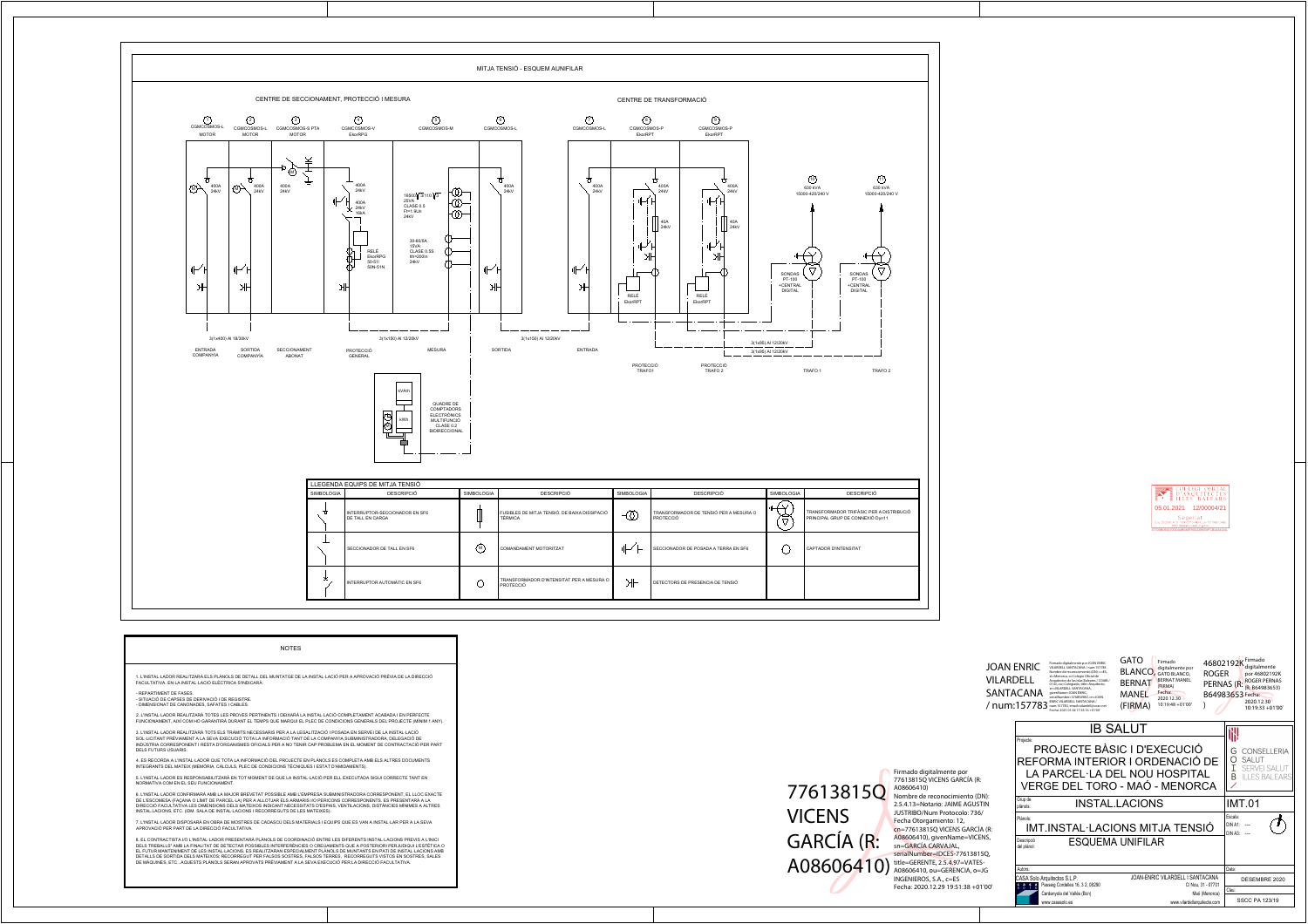

| 1. L'INSTAL·LADOR REALITZARÀ ELS PLÀNOLS DE DETALL DEL MUNTATGE DE LA INSTAL·LACIÓ PER A APROVACIÓ PRÈVIA DE LA DIRECCIÓ<br>FACULTATIVA. EN LA INSTAL·LACIÓ ELÈCTRICA S'INDICARÀ:<br>- REPARTIMENT DE FASES.<br>- SITUACIÓ DE CAPSES DE DERIVACIÓ I DE REGISTRE.<br>- DIMENSIONAT DE CANONADES, SAFATES I CABLES.<br>2. L'INSTAL·LADOR REALITZARÀ TOTES LES PROVES PERTINENTS I DEIXARÀ LA INSTAL·LACIÓ COMPLETAMENT ACABADA I EN PERFECTE<br>FUNCIONAMENT, AIXÍ COM HO GARANTIRÀ DURANT EL TEMPS QUE MARQUI EL PLEC DE CONDICIONS GENERALS DEL PROJECTE (MÍNIM 1 ANY).<br>3. L'INSTAL·LADOR REALITZARÀ TOTS ELS TRÀMITS NECESSARIS PER A LA LEGALITZACIÓ I POSADA EN SERVEI DE LA INSTAL·LACIÓ<br>SOL·LICITANT PRÈVIAMENT A LA SEVA EXECUCIÓ TOTA LA INFORMACIÓ TANT DE LA COMPANYIA SUBMINISTRADORA, DELEGACIÓ DE<br>INDÚSTRIA CORRESPONENT I RESTA D'ORGANISMES OFICIALS PER A NO TENIR CAP PROBLEMA EN EL MOMENT DE CONTRACTACIÓ PER PART<br>DELS FUTURS USUARIS.<br>4. ES RECORDA A L'INSTAL·LADOR QUE TOTA LA INFORMACIÓ DEL PROJECTE EN PLÀNOLS ES COMPLETA AMB ELS ALTRES DOCUMENTS<br>INTEGRANTS DEL MATEIX (MEMÒRIA, CÀLCULS, PLEC DE CONDICIONS TÈCNIQUES I ESTAT D'AMIDAMENTS).<br>5. L'INSTAL·LADOR ES RESPONSABILITZARÀ EN TOT MOMENT DE QUE LA INSTAL·LACIÓ PER ELL EXECUTADA SIGUI CORRECTE TANT EN<br>NORMATIVA COM EN EL SEU FUNCIONAMENT.<br>6. L'INSTAL·LADOR CONFIRMARÀ AMB LA MAJOR BREVETAT POSSIBLE AMB L'EMPRESA SUBMINISTRADORA CORRESPONENT, EL LLOC EXACTE<br>DE L'ESCOMESA (FAÇANA O LÍMIT DE PARCEL·LA) PER A ALLOTJAR ELS ARMARIS I/O PERICONS CORRESPONENTS. ES PRESENTARÀ A LA |  |
|-----------------------------------------------------------------------------------------------------------------------------------------------------------------------------------------------------------------------------------------------------------------------------------------------------------------------------------------------------------------------------------------------------------------------------------------------------------------------------------------------------------------------------------------------------------------------------------------------------------------------------------------------------------------------------------------------------------------------------------------------------------------------------------------------------------------------------------------------------------------------------------------------------------------------------------------------------------------------------------------------------------------------------------------------------------------------------------------------------------------------------------------------------------------------------------------------------------------------------------------------------------------------------------------------------------------------------------------------------------------------------------------------------------------------------------------------------------------------------------------------------------------------------------------------------------------------------------------------------------------|--|
|                                                                                                                                                                                                                                                                                                                                                                                                                                                                                                                                                                                                                                                                                                                                                                                                                                                                                                                                                                                                                                                                                                                                                                                                                                                                                                                                                                                                                                                                                                                                                                                                                 |  |
|                                                                                                                                                                                                                                                                                                                                                                                                                                                                                                                                                                                                                                                                                                                                                                                                                                                                                                                                                                                                                                                                                                                                                                                                                                                                                                                                                                                                                                                                                                                                                                                                                 |  |
|                                                                                                                                                                                                                                                                                                                                                                                                                                                                                                                                                                                                                                                                                                                                                                                                                                                                                                                                                                                                                                                                                                                                                                                                                                                                                                                                                                                                                                                                                                                                                                                                                 |  |
|                                                                                                                                                                                                                                                                                                                                                                                                                                                                                                                                                                                                                                                                                                                                                                                                                                                                                                                                                                                                                                                                                                                                                                                                                                                                                                                                                                                                                                                                                                                                                                                                                 |  |
|                                                                                                                                                                                                                                                                                                                                                                                                                                                                                                                                                                                                                                                                                                                                                                                                                                                                                                                                                                                                                                                                                                                                                                                                                                                                                                                                                                                                                                                                                                                                                                                                                 |  |
|                                                                                                                                                                                                                                                                                                                                                                                                                                                                                                                                                                                                                                                                                                                                                                                                                                                                                                                                                                                                                                                                                                                                                                                                                                                                                                                                                                                                                                                                                                                                                                                                                 |  |
| DIRECCIÓ FACULTATIVA LES DIMENSIONS DELS MATEIXOS INDICANT NECESSITATS D'ESPAIS, VENTILACIONS, DISTÀNCIES MÍNIMES A ALTRES<br>INSTAL.LACIONS, ETC. (IDM. SALA DE INSTAL·LACIONS I RECORREGUTS DE LES MATEIXES).                                                                                                                                                                                                                                                                                                                                                                                                                                                                                                                                                                                                                                                                                                                                                                                                                                                                                                                                                                                                                                                                                                                                                                                                                                                                                                                                                                                                 |  |
| 7. L'INSTAL·LADOR DISPOSARÀ EN OBRA DE MOSTRES DE CADASCÚ DELS MATERIALS I EQUIPS QUE ES VAN A INSTAL·LAR PER A LA SEVA<br>APROVACIÓ PER PART DE LA DIRECCIÓ FACULTATIVA.                                                                                                                                                                                                                                                                                                                                                                                                                                                                                                                                                                                                                                                                                                                                                                                                                                                                                                                                                                                                                                                                                                                                                                                                                                                                                                                                                                                                                                       |  |
| 8. EL CONTRACTISTA I/O L'INSTAL·LADOR PRESENTARÀ PLÀNOLS DE COORDINACIÓ ENTRE LES DIFERENTS INSTAL·LACIONS PREVIS A L'INICI<br>DELS TREBALLS" AMB LA FINALITAT DE DETECTAR POSSIBLES INTERFERÈNCIES O CREUAMENTS QUE A POSTERIORI PERJUDIQUI L'ESTÈTICA O<br>EL FUTUR MANTENIMENT DE LES INSTAL·LACIONS. ES REALITZARAN ESPECIALMENT PLÀNOLS DE MUNTANTS EN PATI DE INSTAL·LACIONS AMB<br>DETALLS DE SORTIDA DELS MATEIXOS; RECORREGUT PER FALSOS SOSTRES, FALSOS TERRES, RECORREGUTS VISTOS EN SOSTRES, SALES<br>DE MÀQUINES, ETCAQUESTS PLÀNOLS SERAN APROVATS PRÈVIAMENT A LA SEVA EXECUCIÓ PER LA DIRECCIÓ FACULTATIVA.                                                                                                                                                                                                                                                                                                                                                                                                                                                                                                                                                                                                                                                                                                                                                                                                                                                                                                                                                                                     |  |

## 77613815Q **VICENS GARCÍA (R:** A08606410) title=GERENTE, 2.5.4.97=VATES-

Firmado digitalmente por 77613815Q VICENS GARCÍA (R: A08606410) Nombre de reconocimiento (DN): 2.5.4.13=Notario: JAIME AGUSTIN JUSTRIBO/Num Protocolo: 736/ Fecha Otorgamiento: 12, cn=77613815Q VICENS GARCÍA (R: A08606410), givenName=VICENS,<br>sn=GARCÍA CARVAJAL, serialNumber=IDCES-77613815Q, INGENIEROS, S.A., c=ES Fecha: 2020.12.29 19:51:38 +01'00'



**GATO** Firmado



46802192K <sup>Firmado</sup>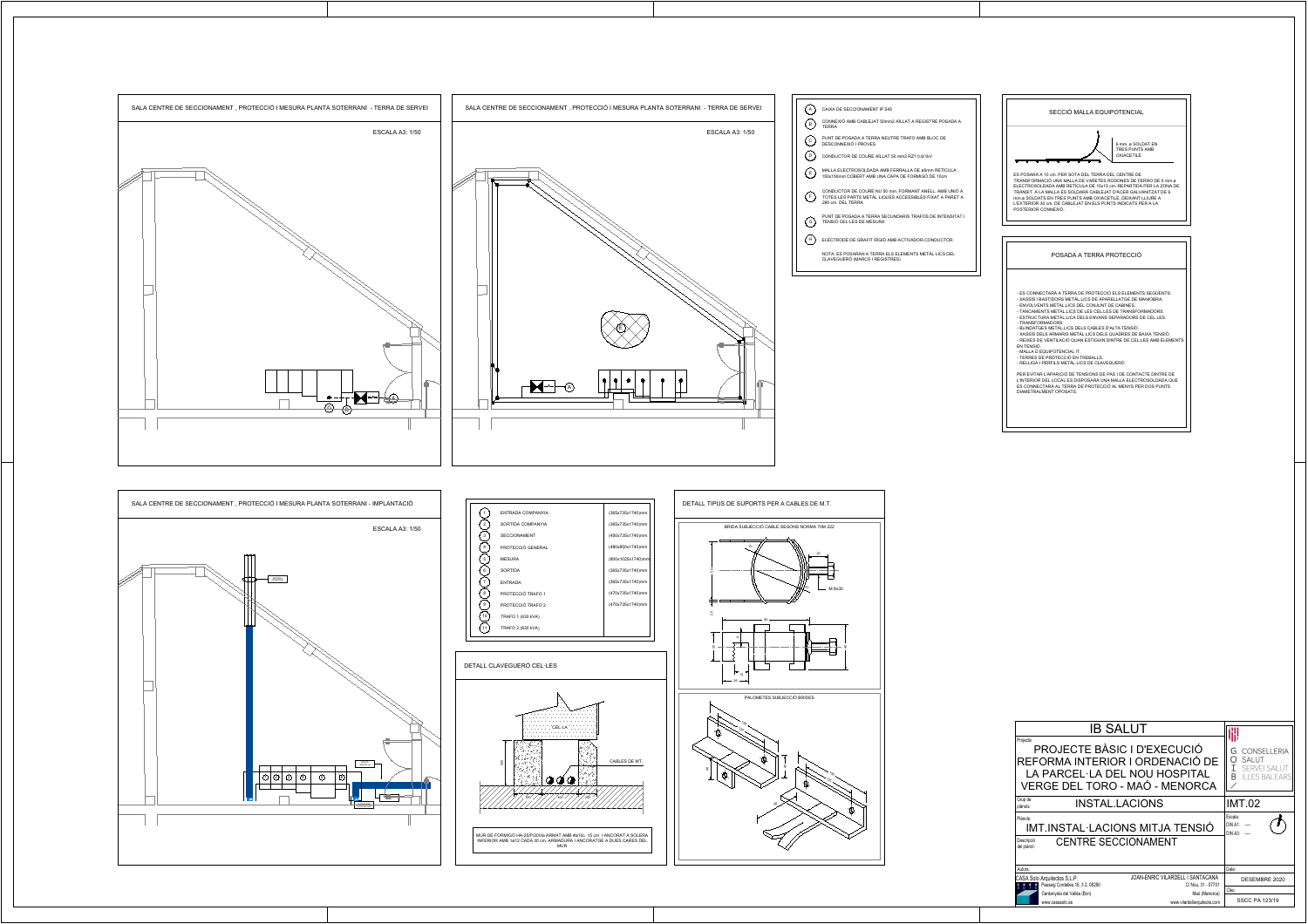



## DETALL CLAVEGUERÓ CEL·LES

ES POSARÀ A 10 cm. PER SOTA DEL TERRA DEL CENTRE DE TRANSFORMACIÓ UNA MALLA DE VARETES RODONES DE FERRO DE 5 mm.ø ELECTROSOLDADA AMB RETÍCULA DE 15x15 cm. REPARTIDA PER LA ZONA DE TRÀNSIT. A LA MALLA ES SOLDARÀ CABLEJAT D'ACER GALVANITZAT DE 6 mm.ø SOLDATS EN TRES PUNTS AMB OXIACETILÈ, DEIXANT LLIURE A L'EXTERIOR 30 cm. DE CABLEJAT EN ELS PUNTS INDICATS PER A LA POSTERIOR CONNEXIÓ.



## POSADA A TERRA PROTECCIÓ

6 mm. ø SOLDAT EN TRES PUNTS AMB OXIACETILÈ

- ES CONNECTARÀ A TERRA DE PROTECCIÓ ELS ELEMENTS SEGÜENTS: - XASSÍS I BASTIDORS METÀL.LICS DE APARELLATGE DE MANIOBRA.
- ENVOLVENTS METÀL.LICS DEL CONJUNT DE CABINES.
- TANCAMENTS METÀL.LICS DE LES CEL.LES DE TRANSFORMADORS. - ESTRUCTURA METÀL.LICA DELS ENVANS SEPARADORS DE CEL.LES.
- TRANSFORMADORS.
- BLINDATGES METÀL.LICS DELS CABLES D'ALTA TENSIÓ.
- XASSÍS DELS ARMARIS METÀL.LICS DELS QUADRES DE BAIXA TENSIÓ. - REIXES DE VENTILACIÓ QUAN ESTIGUIN DINTRE DE CEL.LES AMB ELEMENTS
- EN TENSIÓ. - MALLA D EQUIPOTENCIAL IT.
- TERRES DE PROTECCIÓ EN TREBALLS.
- RELLIGA I PERFILS METÀL.LICS DE CLAVEGUERÓ

PER EVITAR L'APARICIÓ DE TENSIONS DE PAS I DE CONTACTE DINTRE DE L'INTERIOR DEL LOCAL ES DISPOSARÀ UNA MALLA ELECTROSOLDADA QUE ES CONNECTARÀ AL TERRA DE PROTECCIÓ AL MENYS PER DOS PUNTS DIAMETRALMENT OPOSATS.



| ENTRADA COMPANYIA   | (365x735x1740)mm  |
|---------------------|-------------------|
| SORTIDA COMPANYIA   | (365x735x1740)mm  |
| <b>SECCIONAMENT</b> | (450x735x1740)mm  |
| PROTECCIÓ GENERAL   | (480x850x1740)mm  |
| <b>MESURA</b>       | (800x1025x1740)mm |
| <b>SORTIDA</b>      | (365x735x1740)mm  |
| <b>ENTRADA</b>      | (365x735x1740)mm  |
| PROTECCIÓ TRAFO 1   | (470x735x1740)mm  |
| PROTECCIÓ TRAFO 2   | (470x735x1740)mm  |
| TRAFO 1 (630 kVA)   |                   |
| TRAFO 2 (630 kVA)   |                   |
|                     |                   |







| <b>IB SALUT</b><br>Projecte:<br>PROJECTE BÀSIC I D'EXECUCIÓ<br>REFORMA INTERIOR I ORDENACIÓ DE<br>LA PARCEL·LA DEL NOU HOSPITAL<br>VERGE DEL TORO - MAÓ - MENORCA |                                                        | <b>CONSELLERIA</b><br>G<br>O<br><b>SALUT</b><br>Ι<br><b>SERVEI SALUT</b><br>B<br><b>LES BALEARS</b> |
|-------------------------------------------------------------------------------------------------------------------------------------------------------------------|--------------------------------------------------------|-----------------------------------------------------------------------------------------------------|
| Grup de<br><b>INSTAL LACIONS</b><br>plànols:                                                                                                                      |                                                        | <b>IMT.02</b>                                                                                       |
| Plànols:<br>IMT.INSTAL·LACIONS MITJA TENSIÓ<br><b>CENTRE SECCIONAMENT</b><br>Descripció<br>del plànol:                                                            |                                                        | Escala:<br>DIN A1:<br>DIN A3:                                                                       |
| Autors:                                                                                                                                                           |                                                        | Data:                                                                                               |
| CASA Solo Arquitectos S.L.P.<br>Passeig Cordelles 16, 3 2, 08290<br>$\begin{array}{ccc} c & a & s & a \\ s & 0 & 0 & 0 \end{array}$                               | JOAN-ENRIC VILARDELL I SANTACANA<br>C/ Nou, 31 - 07701 | DESEMBRE 2020                                                                                       |
| Cerdanyola del Vallès (Bcn)                                                                                                                                       | Maó (Menorca)                                          | Clau:                                                                                               |
| www.casasolo.es                                                                                                                                                   | www.vilardellarquitecte.com                            | <b>SSCC PA 123/19</b>                                                                               |